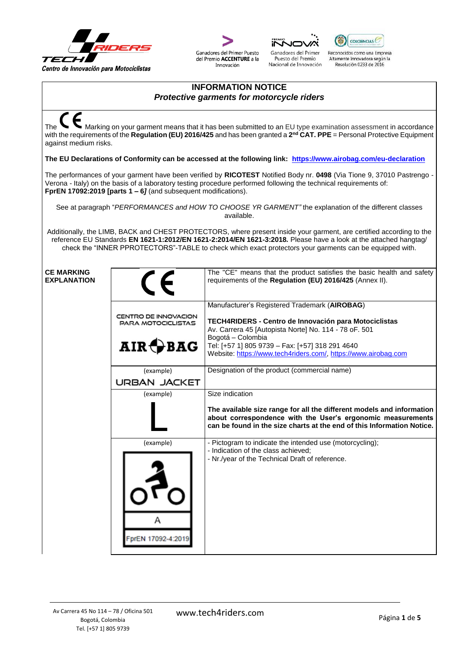





Puesto del Premio

Nacional de Innovación



Reconocidos como una Empresa Altamente Innovadora según la<br>Resolución 0233 de 2016

## **INFORMATION NOTICE** *Protective garments for motorcycle riders*

The Marking on your garment means that it has been submitted to an EU type examination assessment in accordance with the requirements of the **Regulation (EU) 2016/425** and has been granted a **2 nd CAT. PPE** = Personal Protective Equipment against medium risks. **The EU Declarations of Conformity can be accessed at the following link:<https://www.airobag.com/eu-declaration>** The performances of your garment have been verified by **RICOTEST** Notified Body nr. **0498** (Via Tione 9, 37010 Pastrengo - Verona - Italy) on the basis of a laboratory testing procedure performed following the technical requirements of: **FprEN 17092:2019 [parts 1 – 6***]* (and subsequent modifications). See at paragraph "*PERFORMANCES and HOW TO CHOOSE YR GARMENT"* the explanation of the different classes available. Additionally, the LIMB, BACK and CHEST PROTECTORS, where present inside your garment, are certified according to the reference EU Standards **EN 1621-1:2012/EN 1621-2:2014/EN 1621-3:2018***.* Please have a look at the attached hangtag/ check the "INNER PPROTECTORS"-TABLE to check which exact protectors your garments can be equipped with. **CE MARKING** The "CE" means that the product satisfies the basic health and safety **EXPLANATION** requirements of the **Regulation (EU) 2016/425** (Annex II). Manufacturer's Registered Trademark (**AIROBAG**) CENTRO DE INNOVACION **TECH4RIDERS - Centro de Innovación para Motociclistas PARA MOTOCICLISTAS** Av. Carrera 45 [Autopista Norte] No. 114 - 78 oF. 501 Bogotá – Colombia  $AIR \bigoplus BAG$ Tel: [+57 1] 805 9739 – Fax: [+57] 318 291 4640 Website[: https://www.tech4riders.com/,](https://www.tech4riders.com/) [https://www.airobag.com](https://www.airobag.com/) (example) Designation of the product (commercial name) **URBAN JACKET** (example) Size indication **The available size range for all the different models and information about correspondence with the User's ergonomic measurements can be found in the size charts at the end of this Information Notice.** (example) - Pictogram to indicate the intended use (motorcycling); - Indication of the class achieved; - Nr./year of the Technical Draft of reference.FprEN 17092-4:201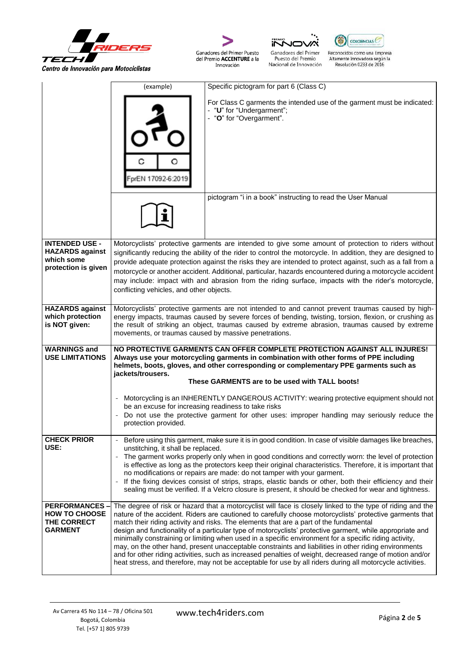



Ganadores del Primer Puesto<br>del Premio ACCENTURE a la Innovación





Reconocidos como una Empresa<br>Altamente Innovadora según la<br>Resolución 0233 de 2016

|                                                                               | (example)                                                                                                                                                                                                                                                                                                                                                                                                                                                                                                                                                                                                                                                                               | Specific pictogram for part 6 (Class C)                                                                                                                                                                                                                                                                                                                                                                                                                                                                                                                                                                                                                                                                                                                                                                                                                                   |  |  |  |  |  |  |
|-------------------------------------------------------------------------------|-----------------------------------------------------------------------------------------------------------------------------------------------------------------------------------------------------------------------------------------------------------------------------------------------------------------------------------------------------------------------------------------------------------------------------------------------------------------------------------------------------------------------------------------------------------------------------------------------------------------------------------------------------------------------------------------|---------------------------------------------------------------------------------------------------------------------------------------------------------------------------------------------------------------------------------------------------------------------------------------------------------------------------------------------------------------------------------------------------------------------------------------------------------------------------------------------------------------------------------------------------------------------------------------------------------------------------------------------------------------------------------------------------------------------------------------------------------------------------------------------------------------------------------------------------------------------------|--|--|--|--|--|--|
|                                                                               | prEN 17092-6:2019                                                                                                                                                                                                                                                                                                                                                                                                                                                                                                                                                                                                                                                                       | For Class C garments the intended use of the garment must be indicated:<br>- "U" for "Undergarment";<br>- "O" for "Overgarment".                                                                                                                                                                                                                                                                                                                                                                                                                                                                                                                                                                                                                                                                                                                                          |  |  |  |  |  |  |
|                                                                               |                                                                                                                                                                                                                                                                                                                                                                                                                                                                                                                                                                                                                                                                                         | pictogram "i in a book" instructing to read the User Manual                                                                                                                                                                                                                                                                                                                                                                                                                                                                                                                                                                                                                                                                                                                                                                                                               |  |  |  |  |  |  |
| <b>INTENDED USE -</b>                                                         |                                                                                                                                                                                                                                                                                                                                                                                                                                                                                                                                                                                                                                                                                         | Motorcyclists' protective garments are intended to give some amount of protection to riders without                                                                                                                                                                                                                                                                                                                                                                                                                                                                                                                                                                                                                                                                                                                                                                       |  |  |  |  |  |  |
| <b>HAZARDS</b> against<br>which some<br>protection is given                   | conflicting vehicles, and other objects.                                                                                                                                                                                                                                                                                                                                                                                                                                                                                                                                                                                                                                                | significantly reducing the ability of the rider to control the motorcycle. In addition, they are designed to<br>provide adequate protection against the risks they are intended to protect against, such as a fall from a<br>motorcycle or another accident. Additional, particular, hazards encountered during a motorcycle accident<br>may include: impact with and abrasion from the riding surface, impacts with the rider's motorcycle,                                                                                                                                                                                                                                                                                                                                                                                                                              |  |  |  |  |  |  |
| <b>HAZARDS against</b><br>which protection<br>is NOT given:                   | Motorcyclists' protective garments are not intended to and cannot prevent traumas caused by high-<br>energy impacts, traumas caused by severe forces of bending, twisting, torsion, flexion, or crushing as<br>the result of striking an object, traumas caused by extreme abrasion, traumas caused by extreme<br>movements, or traumas caused by massive penetrations.                                                                                                                                                                                                                                                                                                                 |                                                                                                                                                                                                                                                                                                                                                                                                                                                                                                                                                                                                                                                                                                                                                                                                                                                                           |  |  |  |  |  |  |
| <b>WARNINGS and</b><br><b>USE LIMITATIONS</b>                                 | NO PROTECTIVE GARMENTS CAN OFFER COMPLETE PROTECTION AGAINST ALL INJURES!<br>Always use your motorcycling garments in combination with other forms of PPE including<br>helmets, boots, gloves, and other corresponding or complementary PPE garments such as<br>jackets/trousers.<br>These GARMENTS are to be used with TALL boots!                                                                                                                                                                                                                                                                                                                                                     |                                                                                                                                                                                                                                                                                                                                                                                                                                                                                                                                                                                                                                                                                                                                                                                                                                                                           |  |  |  |  |  |  |
|                                                                               | Motorcycling is an INHERENTLY DANGEROUS ACTIVITY: wearing protective equipment should not<br>$\sim$<br>be an excuse for increasing readiness to take risks<br>- Do not use the protective garment for other uses: improper handling may seriously reduce the<br>protection provided.                                                                                                                                                                                                                                                                                                                                                                                                    |                                                                                                                                                                                                                                                                                                                                                                                                                                                                                                                                                                                                                                                                                                                                                                                                                                                                           |  |  |  |  |  |  |
| <b>CHECK PRIOR</b><br>USE:                                                    | Before using this garment, make sure it is in good condition. In case of visible damages like breaches,<br>unstitching, it shall be replaced.<br>The garment works properly only when in good conditions and correctly worn: the level of protection<br>$\blacksquare$<br>is effective as long as the protectors keep their original characteristics. Therefore, it is important that<br>no modifications or repairs are made: do not tamper with your garment.<br>- If the fixing devices consist of strips, straps, elastic bands or other, both their efficiency and their<br>sealing must be verified. If a Velcro closure is present, it should be checked for wear and tightness. |                                                                                                                                                                                                                                                                                                                                                                                                                                                                                                                                                                                                                                                                                                                                                                                                                                                                           |  |  |  |  |  |  |
| <b>PERFORMANCES-</b><br><b>HOW TO CHOOSE</b><br>THE CORRECT<br><b>GARMENT</b> |                                                                                                                                                                                                                                                                                                                                                                                                                                                                                                                                                                                                                                                                                         | The degree of risk or hazard that a motorcyclist will face is closely linked to the type of riding and the<br>nature of the accident. Riders are cautioned to carefully choose motorcyclists' protective garments that<br>match their riding activity and risks. The elements that are a part of the fundamental<br>design and functionality of a particular type of motorcyclists' protective garment, while appropriate and<br>minimally constraining or limiting when used in a specific environment for a specific riding activity,<br>may, on the other hand, present unacceptable constraints and liabilities in other riding environments<br>and for other riding activities, such as increased penalties of weight, decreased range of motion and/or<br>heat stress, and therefore, may not be acceptable for use by all riders during all motorcycle activities. |  |  |  |  |  |  |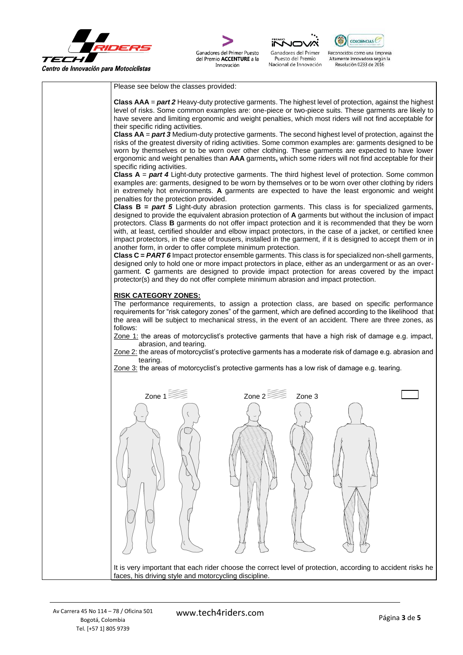

Ganadores del Primer Puesto del Premio ACCENTURE a la

Innovación



Puesto del Premio

Nacional de Innovación



Reconocidos como una Empresa Altamente Innovadora según la<br>Resolución 0233 de 2016

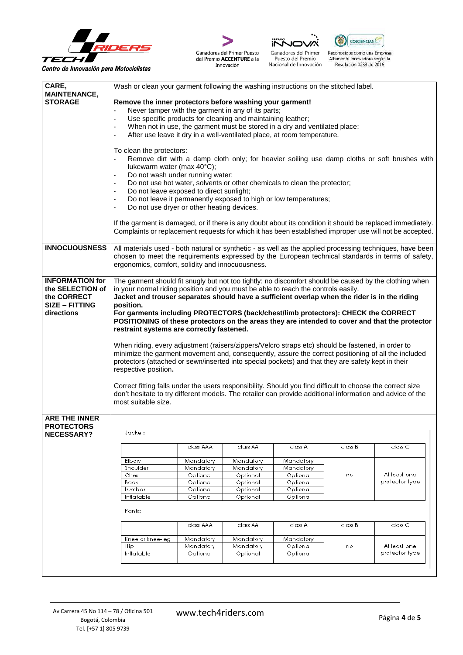









Reconocidos como una Empresa<br>Altamente Innovadora según la<br>Resolución 0233 de 2016

| CARE,                                                                  | Wash or clean your garment following the washing instructions on the stitched label.                                                                                                                                                                                                                                                                                                                                                                                                                                                                                                                                                                                                                                                                                          |                        |                        |                                                                  |         |                                |  |  |  |  |
|------------------------------------------------------------------------|-------------------------------------------------------------------------------------------------------------------------------------------------------------------------------------------------------------------------------------------------------------------------------------------------------------------------------------------------------------------------------------------------------------------------------------------------------------------------------------------------------------------------------------------------------------------------------------------------------------------------------------------------------------------------------------------------------------------------------------------------------------------------------|------------------------|------------------------|------------------------------------------------------------------|---------|--------------------------------|--|--|--|--|
| <b>MAINTENANCE,</b><br><b>STORAGE</b>                                  | Remove the inner protectors before washing your garment!                                                                                                                                                                                                                                                                                                                                                                                                                                                                                                                                                                                                                                                                                                                      |                        |                        |                                                                  |         |                                |  |  |  |  |
|                                                                        | Never tamper with the garment in any of its parts;                                                                                                                                                                                                                                                                                                                                                                                                                                                                                                                                                                                                                                                                                                                            |                        |                        |                                                                  |         |                                |  |  |  |  |
|                                                                        | $\overline{\phantom{a}}$<br>Use specific products for cleaning and maintaining leather;                                                                                                                                                                                                                                                                                                                                                                                                                                                                                                                                                                                                                                                                                       |                        |                        |                                                                  |         |                                |  |  |  |  |
|                                                                        | When not in use, the garment must be stored in a dry and ventilated place;                                                                                                                                                                                                                                                                                                                                                                                                                                                                                                                                                                                                                                                                                                    |                        |                        |                                                                  |         |                                |  |  |  |  |
|                                                                        | After use leave it dry in a well-ventilated place, at room temperature.                                                                                                                                                                                                                                                                                                                                                                                                                                                                                                                                                                                                                                                                                                       |                        |                        |                                                                  |         |                                |  |  |  |  |
|                                                                        | To clean the protectors:<br>Remove dirt with a damp cloth only; for heavier soiling use damp cloths or soft brushes with<br>lukewarm water (max 40°C);                                                                                                                                                                                                                                                                                                                                                                                                                                                                                                                                                                                                                        |                        |                        |                                                                  |         |                                |  |  |  |  |
|                                                                        | Do not wash under running water;<br>Do not use hot water, solvents or other chemicals to clean the protector;                                                                                                                                                                                                                                                                                                                                                                                                                                                                                                                                                                                                                                                                 |                        |                        |                                                                  |         |                                |  |  |  |  |
|                                                                        | Do not leave exposed to direct sunlight;                                                                                                                                                                                                                                                                                                                                                                                                                                                                                                                                                                                                                                                                                                                                      |                        |                        |                                                                  |         |                                |  |  |  |  |
|                                                                        | Do not use dryer or other heating devices.                                                                                                                                                                                                                                                                                                                                                                                                                                                                                                                                                                                                                                                                                                                                    |                        |                        | Do not leave it permanently exposed to high or low temperatures; |         |                                |  |  |  |  |
|                                                                        |                                                                                                                                                                                                                                                                                                                                                                                                                                                                                                                                                                                                                                                                                                                                                                               |                        |                        |                                                                  |         |                                |  |  |  |  |
|                                                                        | If the garment is damaged, or if there is any doubt about its condition it should be replaced immediately.<br>Complaints or replacement requests for which it has been established improper use will not be accepted.                                                                                                                                                                                                                                                                                                                                                                                                                                                                                                                                                         |                        |                        |                                                                  |         |                                |  |  |  |  |
| <b>INNOCUOUSNESS</b>                                                   | All materials used - both natural or synthetic - as well as the applied processing techniques, have been<br>chosen to meet the requirements expressed by the European technical standards in terms of safety,<br>ergonomics, comfort, solidity and innocuousness.                                                                                                                                                                                                                                                                                                                                                                                                                                                                                                             |                        |                        |                                                                  |         |                                |  |  |  |  |
| <b>INFORMATION for</b>                                                 | The garment should fit snugly but not too tightly: no discomfort should be caused by the clothing when                                                                                                                                                                                                                                                                                                                                                                                                                                                                                                                                                                                                                                                                        |                        |                        |                                                                  |         |                                |  |  |  |  |
| the SELECTION of<br>the CORRECT<br><b>SIZE - FITTING</b><br>directions | in your normal riding position and you must be able to reach the controls easily.<br>Jacket and trouser separates should have a sufficient overlap when the rider is in the riding<br>position.<br>For garments including PROTECTORS (back/chest/limb protectors): CHECK the CORRECT<br>POSITIONING of these protectors on the areas they are intended to cover and that the protector<br>restraint systems are correctly fastened.<br>When riding, every adjustment (raisers/zippers/Velcro straps etc) should be fastened, in order to<br>minimize the garment movement and, consequently, assure the correct positioning of all the included<br>protectors (attached or sewn/inserted into special pockets) and that they are safety kept in their<br>respective position. |                        |                        |                                                                  |         |                                |  |  |  |  |
|                                                                        | Correct fitting falls under the users responsibility. Should you find difficult to choose the correct size<br>don't hesitate to try different models. The retailer can provide additional information and advice of the<br>most suitable size.                                                                                                                                                                                                                                                                                                                                                                                                                                                                                                                                |                        |                        |                                                                  |         |                                |  |  |  |  |
| <b>ARE THE INNER</b><br><b>PROTECTORS</b><br><b>NECESSARY?</b>         | Jacket:                                                                                                                                                                                                                                                                                                                                                                                                                                                                                                                                                                                                                                                                                                                                                                       |                        |                        |                                                                  |         |                                |  |  |  |  |
|                                                                        |                                                                                                                                                                                                                                                                                                                                                                                                                                                                                                                                                                                                                                                                                                                                                                               | class AAA              | class AA               | class A                                                          | class B | class C                        |  |  |  |  |
|                                                                        | Elbow                                                                                                                                                                                                                                                                                                                                                                                                                                                                                                                                                                                                                                                                                                                                                                         | Mandatory              | Mandatory              | Mandatory                                                        |         |                                |  |  |  |  |
|                                                                        | Shoulder                                                                                                                                                                                                                                                                                                                                                                                                                                                                                                                                                                                                                                                                                                                                                                      | Mandatory              | Mandatory              | Mandatory                                                        |         |                                |  |  |  |  |
|                                                                        | Chest<br>Back                                                                                                                                                                                                                                                                                                                                                                                                                                                                                                                                                                                                                                                                                                                                                                 | Optional<br>Optional   | Optional<br>Optional   | Optional<br>Optional                                             | no      | At least one<br>profector type |  |  |  |  |
|                                                                        | Lumbar                                                                                                                                                                                                                                                                                                                                                                                                                                                                                                                                                                                                                                                                                                                                                                        | Optional               | Optional               | Optional                                                         |         |                                |  |  |  |  |
|                                                                        | Inflatable                                                                                                                                                                                                                                                                                                                                                                                                                                                                                                                                                                                                                                                                                                                                                                    | Optional               | Optional               | Optional                                                         |         |                                |  |  |  |  |
|                                                                        | Pants:                                                                                                                                                                                                                                                                                                                                                                                                                                                                                                                                                                                                                                                                                                                                                                        |                        |                        |                                                                  |         |                                |  |  |  |  |
|                                                                        |                                                                                                                                                                                                                                                                                                                                                                                                                                                                                                                                                                                                                                                                                                                                                                               | class AAA              | class AA               | class A                                                          | class B | class C                        |  |  |  |  |
|                                                                        |                                                                                                                                                                                                                                                                                                                                                                                                                                                                                                                                                                                                                                                                                                                                                                               |                        |                        |                                                                  |         |                                |  |  |  |  |
|                                                                        | Knee or knee-leg<br>Hip                                                                                                                                                                                                                                                                                                                                                                                                                                                                                                                                                                                                                                                                                                                                                       | Mandatory<br>Mandatory | Mandatory<br>Mandatory | Mandatory<br>Optional                                            | no      | At least one                   |  |  |  |  |
|                                                                        | Inflatable                                                                                                                                                                                                                                                                                                                                                                                                                                                                                                                                                                                                                                                                                                                                                                    | Optional               | Optional               | Optional                                                         |         | profector type                 |  |  |  |  |
|                                                                        |                                                                                                                                                                                                                                                                                                                                                                                                                                                                                                                                                                                                                                                                                                                                                                               |                        |                        |                                                                  |         |                                |  |  |  |  |
|                                                                        |                                                                                                                                                                                                                                                                                                                                                                                                                                                                                                                                                                                                                                                                                                                                                                               |                        |                        |                                                                  |         |                                |  |  |  |  |